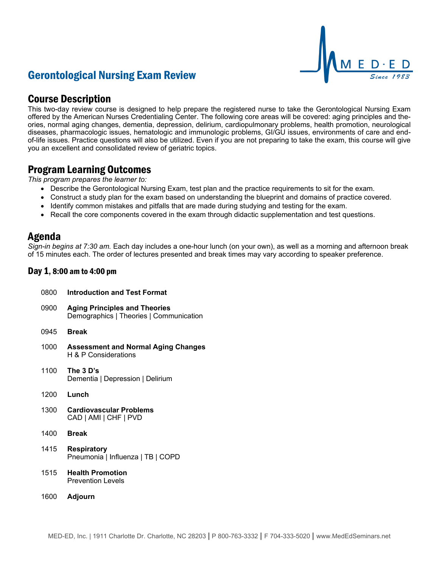# Gerontological Nursing Exam Review



## Course Description

This two-day review course is designed to help prepare the registered nurse to take the Gerontological Nursing Exam offered by the American Nurses Credentialing Center. The following core areas will be covered: aging principles and theories, normal aging changes, dementia, depression, delirium, cardiopulmonary problems, health promotion, neurological diseases, pharmacologic issues, hematologic and immunologic problems, GI/GU issues, environments of care and endof-life issues. Practice questions will also be utilized. Even if you are not preparing to take the exam, this course will give you an excellent and consolidated review of geriatric topics.

### Program Learning Outcomes

*This program prepares the learner to:*

- Describe the Gerontological Nursing Exam, test plan and the practice requirements to sit for the exam.
- Construct a study plan for the exam based on understanding the blueprint and domains of practice covered.
- Identify common mistakes and pitfalls that are made during studying and testing for the exam.
- Recall the core components covered in the exam through didactic supplementation and test questions.

### Agenda

*Sign-in begins at 7:30 am.* Each day includes a one-hour lunch (on your own), as well as a morning and afternoon break of 15 minutes each. The order of lectures presented and break times may vary according to speaker preference.

### Day 1, 8:00 am to 4:00 pm

| 0800 | <b>Introduction and Test Format</b>                                             |
|------|---------------------------------------------------------------------------------|
| 0900 | <b>Aging Principles and Theories</b><br>Demographics   Theories   Communication |
| 0945 | <b>Break</b>                                                                    |
| 1000 | <b>Assessment and Normal Aging Changes</b><br>H & P Considerations              |
| 1100 | The 3 D's<br>Dementia   Depression   Delirium                                   |
| 1200 | Lunch                                                                           |
| 1300 | <b>Cardiovascular Problems</b><br>CAD   AMI   CHF   PVD                         |
| 1400 | <b>Break</b>                                                                    |
| 1415 | <b>Respiratory</b><br>Pneumonia   Influenza   TB   COPD                         |
| 1515 | <b>Health Promotion</b><br><b>Prevention Levels</b>                             |
| 1600 | Adjourn                                                                         |
|      |                                                                                 |